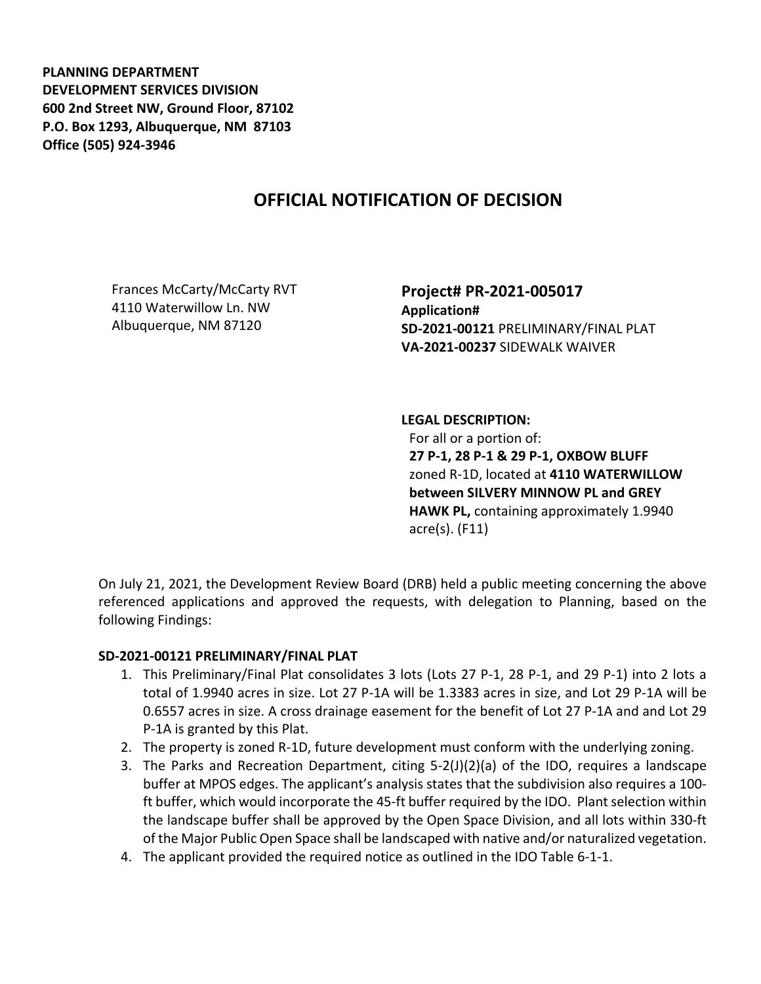**PLANNING DEPARTMENT DEVELOPMENT SERVICES DIVISION 600 2nd Street NW, Ground Floor, 87102 P.O. Box 1293, Albuquerque, NM 87103 Office (505) 924-3946** 

## **OFFICIAL NOTIFICATION OF DECISION**

Frances McCarty/McCarty RVT 4110 Waterwillow Ln. NW Albuquerque, NM 87120

**Project# PR-2021-005017 Application# SD-2021-00121** PRELIMINARY/FINAL PLAT **VA-2021-00237** SIDEWALK WAIVER

**LEGAL DESCRIPTION:**

For all or a portion of: **27 P-1, 28 P-1 & 29 P-1, OXBOW BLUFF**  zoned R-1D, located at **4110 WATERWILLOW between SILVERY MINNOW PL and GREY HAWK PL,** containing approximately 1.9940 acre(s). (F11)

On July 21, 2021, the Development Review Board (DRB) held a public meeting concerning the above referenced applications and approved the requests, with delegation to Planning, based on the following Findings:

## **SD-2021-00121 PRELIMINARY/FINAL PLAT**

- 1. This Preliminary/Final Plat consolidates 3 lots (Lots 27 P-1, 28 P-1, and 29 P-1) into 2 lots a total of 1.9940 acres in size. Lot 27 P-1A will be 1.3383 acres in size, and Lot 29 P-1A will be 0.6557 acres in size. A cross drainage easement for the benefit of Lot 27 P-1A and and Lot 29 P-1A is granted by this Plat.
- 2. The property is zoned R-1D, future development must conform with the underlying zoning.
- 3. The Parks and Recreation Department, citing 5-2(J)(2)(a) of the IDO, requires a landscape buffer at MPOS edges. The applicant's analysis states that the subdivision also requires a 100 ft buffer, which would incorporate the 45-ft buffer required by the IDO. Plant selection within the landscape buffer shall be approved by the Open Space Division, and all lots within 330-ft of the Major Public Open Space shall be landscaped with native and/or naturalized vegetation.
- 4. The applicant provided the required notice as outlined in the IDO Table 6-1-1.